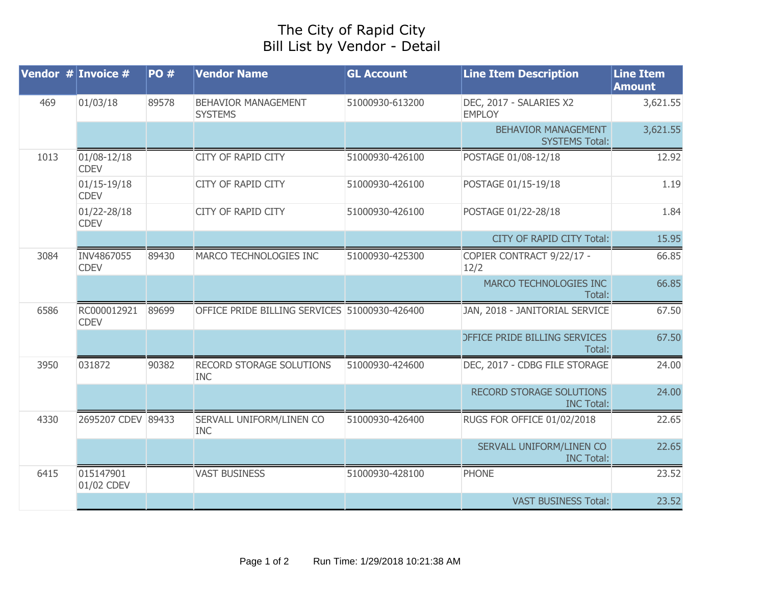## The City of Rapid City Bill List by Vendor - Detail

| <b>Vendor # Invoice #</b> |                                | <b>PO#</b> | <b>Vendor Name</b>                            | <b>GL Account</b> | <b>Line Item Description</b>                        | <b>Line Item</b><br><b>Amount</b> |
|---------------------------|--------------------------------|------------|-----------------------------------------------|-------------------|-----------------------------------------------------|-----------------------------------|
| 469                       | 01/03/18                       | 89578      | <b>BEHAVIOR MANAGEMENT</b><br><b>SYSTEMS</b>  | 51000930-613200   | DEC, 2017 - SALARIES X2<br><b>EMPLOY</b>            | 3,621.55                          |
|                           |                                |            |                                               |                   | <b>BEHAVIOR MANAGEMENT</b><br><b>SYSTEMS Total:</b> | 3,621.55                          |
| 1013                      | 01/08-12/18<br><b>CDEV</b>     |            | CITY OF RAPID CITY                            | 51000930-426100   | POSTAGE 01/08-12/18                                 | 12.92                             |
|                           | $01/15 - 19/18$<br><b>CDEV</b> |            | CITY OF RAPID CITY                            | 51000930-426100   | POSTAGE 01/15-19/18                                 | 1.19                              |
|                           | 01/22-28/18<br><b>CDEV</b>     |            | CITY OF RAPID CITY                            | 51000930-426100   | POSTAGE 01/22-28/18                                 | 1.84                              |
|                           |                                |            |                                               |                   | CITY OF RAPID CITY Total:                           | 15.95                             |
| 3084                      | INV4867055<br><b>CDEV</b>      | 89430      | MARCO TECHNOLOGIES INC                        | 51000930-425300   | COPIER CONTRACT 9/22/17 -<br>12/2                   | 66.85                             |
|                           |                                |            |                                               |                   | MARCO TECHNOLOGIES INC<br>Total:                    | 66.85                             |
| 6586                      | RC000012921<br><b>CDEV</b>     | 89699      | OFFICE PRIDE BILLING SERVICES 51000930-426400 |                   | JAN, 2018 - JANITORIAL SERVICE                      | 67.50                             |
|                           |                                |            |                                               |                   | <b>DEFICE PRIDE BILLING SERVICES</b><br>Total:      | 67.50                             |
| 3950                      | 031872                         | 90382      | RECORD STORAGE SOLUTIONS<br><b>INC</b>        | 51000930-424600   | DEC, 2017 - CDBG FILE STORAGE                       | 24.00                             |
|                           |                                |            |                                               |                   | RECORD STORAGE SOLUTIONS<br><b>INC Total:</b>       | 24.00                             |
| 4330                      | 2695207 CDEV 89433             |            | SERVALL UNIFORM/LINEN CO<br><b>INC</b>        | 51000930-426400   | RUGS FOR OFFICE 01/02/2018                          | 22.65                             |
|                           |                                |            |                                               |                   | SERVALL UNIFORM/LINEN CO<br><b>INC Total:</b>       | 22.65                             |
| 6415                      | 015147901<br>01/02 CDEV        |            | <b>VAST BUSINESS</b>                          | 51000930-428100   | <b>PHONE</b>                                        | 23.52                             |
|                           |                                |            |                                               |                   | <b>VAST BUSINESS Total:</b>                         | 23.52                             |